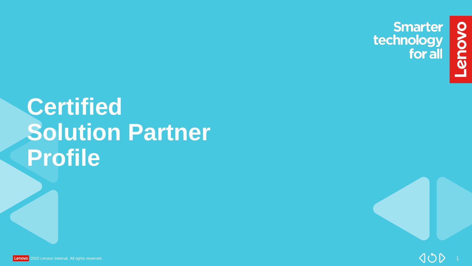**Smarter<br>technology<br>for all** 

ovous-

# **Certified Solution Partner Profile**

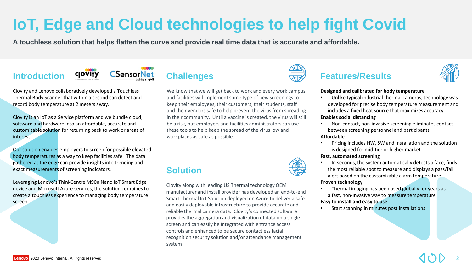# **IoT, Edge and Cloud technologies to help fight Covid**

**A touchless solution that helps flatten the curve and provide real time data that is accurate and affordable.**



Clovity and Lenovo collaboratively developed a Touchless Thermal Body Scanner that within a second can detect and record body temperature at 2 meters away.

Clovity is an IoT as a Service platform and we bundle cloud, software and hardware into an affordable, accurate and customizable solution for returning back to work or areas of interest.

Our solution enables employers to screen for possible elevated body temperatures as a way to keep facilities safe. The data gathered at the edge can provide insights into trending and exact measurements of screening indicators.

Leveraging Lenovo's ThinkCentre M90n Nano IoT Smart Edge device and Microsoft Azure services, the solution combines to create a touchless experience to managing body temperature screen.



We know that we will get back to work and every work campus and facilities will implement some type of new screenings to keep their employees, their customers, their students, staff and their vendors safe to help prevent the virus from spreading in their community. Until a vaccine is created, the virus will still be a risk, but employers and facilities administrators can use these tools to help keep the spread of the virus low and workplaces as safe as possible.

## **Solution**

Clovity along with leading US Thermal technology OEM manufacturer and install provider has developed an end-to-end Smart Thermal IoT Solution deployed on Azure to deliver a safe and easily deployable infrastructure to provide accurate and reliable thermal camera data. Clovity's connected software provides the aggregation and visualization of data on a single screen and can easily be integrated with entrance access controls and enhanced to be secure contactless facial recognition security solution and/or attendance management system



# **Introduction** COVITY ConsorNet Challenges **Teatures/Results**

#### **Designed and calibrated for body temperature**

• Unlike typical industrial thermal cameras, technology was developed for precise body temperature measurement and includes a fixed heat source that maximizes accuracy.

#### **Enables social distancing**

• Non-contact, non-invasive screening eliminates contact between screening personnel and participants

### **Affordable**

• Pricing includes HW, SW and Installation and the solution is designed for mid-tier or higher market

#### **Fast, automated screening**

• In seconds, the system automatically detects a face, finds the most reliable spot to measure and displays a pass/fail alert based on the customizable alarm temperature

### **Proven technology**

• Thermal imaging has been used globally for years as a fast, non-invasive way to measure temperature

### **Easy to install and easy to use**

Start scanning in minutes post installations